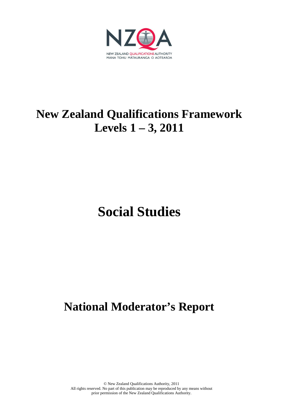

# **New Zealand Qualifications Framework Levels 1 – 3, 2011**

# **Social Studies**

# **National Moderator's Report**

© New Zealand Qualifications Authority, 2011 All rights reserved. No part of this publication may be reproduced by any means without prior permission of the New Zealand Qualifications Authority.